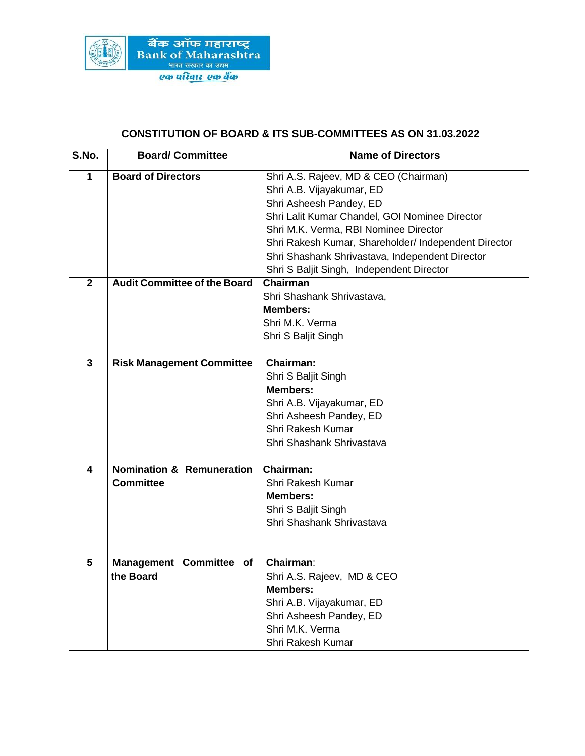

| <b>CONSTITUTION OF BOARD &amp; ITS SUB-COMMITTEES AS ON 31.03.2022</b> |                                      |                                                      |  |
|------------------------------------------------------------------------|--------------------------------------|------------------------------------------------------|--|
| S.No.                                                                  | <b>Board/Committee</b>               | <b>Name of Directors</b>                             |  |
| 1                                                                      | <b>Board of Directors</b>            | Shri A.S. Rajeev, MD & CEO (Chairman)                |  |
|                                                                        |                                      | Shri A.B. Vijayakumar, ED                            |  |
|                                                                        |                                      | Shri Asheesh Pandey, ED                              |  |
|                                                                        |                                      | Shri Lalit Kumar Chandel, GOI Nominee Director       |  |
|                                                                        |                                      | Shri M.K. Verma, RBI Nominee Director                |  |
|                                                                        |                                      | Shri Rakesh Kumar, Shareholder/ Independent Director |  |
|                                                                        |                                      | Shri Shashank Shrivastava, Independent Director      |  |
|                                                                        |                                      | Shri S Baljit Singh, Independent Director            |  |
| $\overline{2}$                                                         | <b>Audit Committee of the Board</b>  | <b>Chairman</b>                                      |  |
|                                                                        |                                      | Shri Shashank Shrivastava,                           |  |
|                                                                        |                                      | <b>Members:</b>                                      |  |
|                                                                        |                                      | Shri M.K. Verma                                      |  |
|                                                                        |                                      | Shri S Baljit Singh                                  |  |
|                                                                        |                                      |                                                      |  |
| $\mathbf{3}$                                                           | <b>Risk Management Committee</b>     | <b>Chairman:</b>                                     |  |
|                                                                        |                                      | Shri S Baljit Singh                                  |  |
|                                                                        |                                      | <b>Members:</b>                                      |  |
|                                                                        |                                      | Shri A.B. Vijayakumar, ED                            |  |
|                                                                        |                                      | Shri Asheesh Pandey, ED                              |  |
|                                                                        |                                      | <b>Shri Rakesh Kumar</b>                             |  |
|                                                                        |                                      | Shri Shashank Shrivastava                            |  |
| 4                                                                      | <b>Nomination &amp; Remuneration</b> | Chairman:                                            |  |
|                                                                        | <b>Committee</b>                     | <b>Shri Rakesh Kumar</b>                             |  |
|                                                                        |                                      | <b>Members:</b>                                      |  |
|                                                                        |                                      | Shri S Baljit Singh                                  |  |
|                                                                        |                                      | Shri Shashank Shrivastava                            |  |
|                                                                        |                                      |                                                      |  |
|                                                                        |                                      |                                                      |  |
| 5                                                                      | Management Committee of<br>the Board | Chairman:                                            |  |
|                                                                        |                                      | Shri A.S. Rajeev, MD & CEO                           |  |
|                                                                        |                                      | <b>Members:</b>                                      |  |
|                                                                        |                                      | Shri A.B. Vijayakumar, ED                            |  |
|                                                                        |                                      | Shri Asheesh Pandey, ED                              |  |
|                                                                        |                                      | Shri M.K. Verma                                      |  |
|                                                                        |                                      | Shri Rakesh Kumar                                    |  |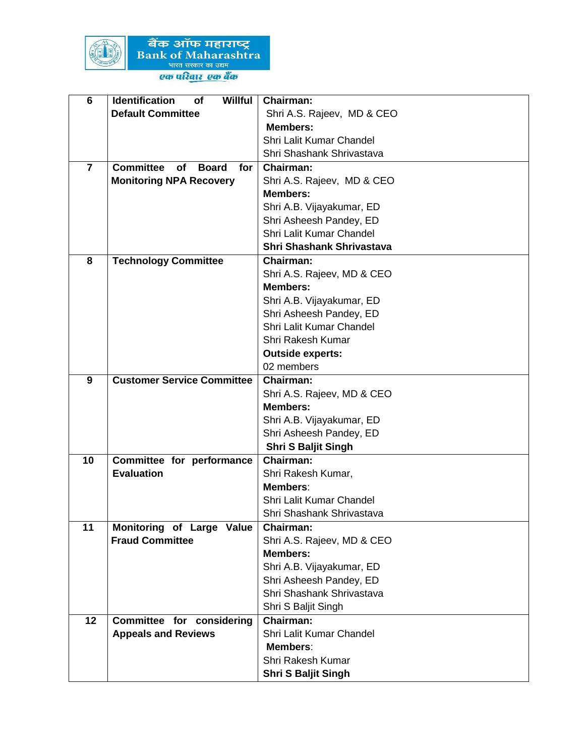

बैंक ऑफ महाराष्ट्र<br>Bank of Maharashtra<br>प्युत सरकार का जवम्<br>एक परिवार एक बैंक

| $6\phantom{1}$ | <b>Identification</b><br><b>Willful</b><br>of        | Chairman:                                      |
|----------------|------------------------------------------------------|------------------------------------------------|
|                | <b>Default Committee</b>                             | Shri A.S. Rajeev, MD & CEO                     |
|                |                                                      | <b>Members:</b>                                |
|                |                                                      | Shri Lalit Kumar Chandel                       |
|                |                                                      | Shri Shashank Shrivastava                      |
| $\overline{7}$ | <b>Committee</b><br><b>of</b><br><b>Board</b><br>for | <b>Chairman:</b>                               |
|                | <b>Monitoring NPA Recovery</b>                       | Shri A.S. Rajeev, MD & CEO                     |
|                |                                                      | <b>Members:</b>                                |
|                |                                                      | Shri A.B. Vijayakumar, ED                      |
|                |                                                      | Shri Asheesh Pandey, ED                        |
|                |                                                      | Shri Lalit Kumar Chandel                       |
|                |                                                      | Shri Shashank Shrivastava                      |
| 8              | <b>Technology Committee</b>                          | <b>Chairman:</b>                               |
|                |                                                      | Shri A.S. Rajeev, MD & CEO                     |
|                |                                                      | <b>Members:</b>                                |
|                |                                                      | Shri A.B. Vijayakumar, ED                      |
|                |                                                      | Shri Asheesh Pandey, ED                        |
|                |                                                      | Shri Lalit Kumar Chandel                       |
|                |                                                      | Shri Rakesh Kumar                              |
|                |                                                      | <b>Outside experts:</b>                        |
|                |                                                      | 02 members                                     |
| 9              | <b>Customer Service Committee</b>                    | <b>Chairman:</b>                               |
|                |                                                      | Shri A.S. Rajeev, MD & CEO                     |
|                |                                                      | <b>Members:</b>                                |
|                |                                                      | Shri A.B. Vijayakumar, ED                      |
|                |                                                      | Shri Asheesh Pandey, ED                        |
| 10             |                                                      | <b>Shri S Baljit Singh</b><br><b>Chairman:</b> |
|                | Committee for performance<br><b>Evaluation</b>       | Shri Rakesh Kumar,                             |
|                |                                                      | Members:                                       |
|                |                                                      | Shri Lalit Kumar Chandel                       |
|                |                                                      | Shri Shashank Shrivastava                      |
| 11             | Monitoring of Large Value                            | <b>Chairman:</b>                               |
|                | <b>Fraud Committee</b>                               | Shri A.S. Rajeev, MD & CEO                     |
|                |                                                      | <b>Members:</b>                                |
|                |                                                      | Shri A.B. Vijayakumar, ED                      |
|                |                                                      | Shri Asheesh Pandey, ED                        |
|                |                                                      | Shri Shashank Shrivastava                      |
|                |                                                      | Shri S Baljit Singh                            |
| 12             | Committee for considering                            | <b>Chairman:</b>                               |
|                | <b>Appeals and Reviews</b>                           | Shri Lalit Kumar Chandel                       |
|                |                                                      | Members:                                       |
|                |                                                      | Shri Rakesh Kumar                              |
|                |                                                      | Shri S Baljit Singh                            |